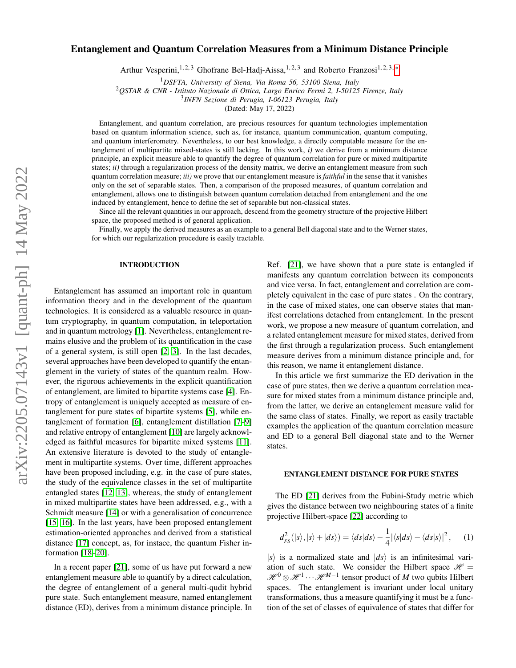# Entanglement and Quantum Correlation Measures from a Minimum Distance Principle

Arthur Vesperini,<sup>1, 2, 3</sup> Ghofrane Bel-Hadj-Aissa,<sup>1, 2, 3</sup> and Roberto Franzosi<sup>1, 2, 3, \*</sup>

<sup>1</sup>*DSFTA, University of Siena, Via Roma 56, 53100 Siena, Italy*

<sup>2</sup>*QSTAR & CNR - Istituto Nazionale di Ottica, Largo Enrico Fermi 2, I-50125 Firenze, Italy*

3 *INFN Sezione di Perugia, I-06123 Perugia, Italy*

(Dated: May 17, 2022)

Entanglement, and quantum correlation, are precious resources for quantum technologies implementation based on quantum information science, such as, for instance, quantum communication, quantum computing, and quantum interferometry. Nevertheless, to our best knowledge, a directly computable measure for the entanglement of multipartite mixed-states is still lacking. In this work, *i)* we derive from a minimum distance principle, an explicit measure able to quantify the degree of quantum correlation for pure or mixed multipartite states; *ii)* through a regularization process of the density matrix, we derive an entanglement measure from such quantum correlation measure; *iii)* we prove that our entanglement measure is *faithful* in the sense that it vanishes only on the set of separable states. Then, a comparison of the proposed measures, of quantum correlation and entanglement, allows one to distinguish between quantum correlation detached from entanglement and the one induced by entanglement, hence to define the set of separable but non-classical states.

Since all the relevant quantities in our approach, descend from the geometry structure of the projective Hilbert space, the proposed method is of general application.

Finally, we apply the derived measures as an example to a general Bell diagonal state and to the Werner states, for which our regularization procedure is easily tractable.

#### INTRODUCTION

Entanglement has assumed an important role in quantum information theory and in the development of the quantum technologies. It is considered as a valuable resource in quantum cryptography, in quantum computation, in teleportation and in quantum metrology [\[1\]](#page-5-1). Nevertheless, entanglement remains elusive and the problem of its quantification in the case of a general system, is still open [\[2,](#page-5-2) [3\]](#page-5-3). In the last decades, several approaches have been developed to quantify the entanglement in the variety of states of the quantum realm. However, the rigorous achievements in the explicit quantification of entanglement, are limited to bipartite systems case [\[4\]](#page-5-4). Entropy of entanglement is uniquely accepted as measure of entanglement for pure states of bipartite systems [\[5\]](#page-5-5), while entanglement of formation [\[6\]](#page-5-6), entanglement distillation [\[7–](#page-5-7)[9\]](#page-5-8) and relative entropy of entanglement [\[10\]](#page-5-9) are largely acknowledged as faithful measures for bipartite mixed systems [\[11\]](#page-5-10). An extensive literature is devoted to the study of entanglement in multipartite systems. Over time, different approaches have been proposed including, e.g. in the case of pure states, the study of the equivalence classes in the set of multipartite entangled states [\[12,](#page-5-11) [13\]](#page-5-12), whereas, the study of entanglement in mixed multipartite states have been addressed, e.g., with a Schmidt measure [\[14\]](#page-5-13) or with a generalisation of concurrence [\[15,](#page-5-14) [16\]](#page-5-15). In the last years, have been proposed entanglement estimation-oriented approaches and derived from a statistical distance [\[17\]](#page-5-16) concept, as, for instace, the quantum Fisher information [\[18](#page-5-17)[–20\]](#page-5-18).

In a recent paper [\[21\]](#page-5-19), some of us have put forward a new entanglement measure able to quantify by a direct calculation, the degree of entanglement of a general multi-qudit hybrid pure state. Such entanglement measure, named entanglement distance (ED), derives from a minimum distance principle. In

Ref. [\[21\]](#page-5-19), we have shown that a pure state is entangled if manifests any quantum correlation between its components and vice versa. In fact, entanglement and correlation are completely equivalent in the case of pure states . On the contrary, in the case of mixed states, one can observe states that manifest correlations detached from entanglement. In the present work, we propose a new measure of quantum correlation, and a related entanglement measure for mixed states, derived from the first through a regularization process. Such entanglement measure derives from a minimum distance principle and, for this reason, we name it entanglement distance.

In this article we first summarize the ED derivation in the case of pure states, then we derive a quantum correlation measure for mixed states from a minimum distance principle and, from the latter, we derive an entanglement measure valid for the same class of states. Finally, we report as easily tractable examples the application of the quantum correlation measure and ED to a general Bell diagonal state and to the Werner states.

### ENTANGLEMENT DISTANCE FOR PURE STATES

The ED [\[21\]](#page-5-19) derives from the Fubini-Study metric which gives the distance between two neighbouring states of a finite projective Hilbert-space [\[22\]](#page-5-20) according to

<span id="page-0-0"></span>
$$
d_{FS}^{2}(|s\rangle,|s\rangle+|ds\rangle)=\langle ds|ds\rangle-\frac{1}{4}|\langle s|ds\rangle-\langle ds|s\rangle|^{2},\qquad(1)
$$

 $|s\rangle$  is a normalized state and  $|ds\rangle$  is an infinitesimal variation of such state. We consider the Hilbert space  $\mathcal{H} =$ *H*<sup>0</sup> ⊗ *H*<sup>1</sup> ··· *H*<sup>M−1</sup> tensor product of *M* two qubits Hilbert spaces. The entanglement is invariant under local unitary transformations, thus a measure quantifying it must be a function of the set of classes of equivalence of states that differ for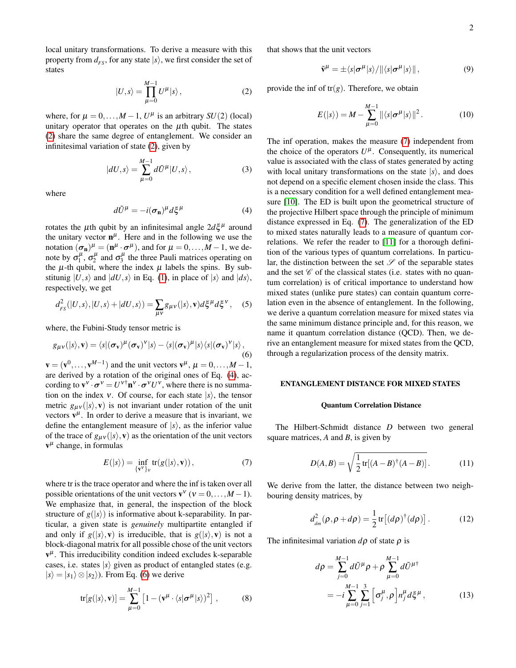local unitary transformations. To derive a measure with this property from  $d_{FS}$ , for any state  $|s\rangle$ , we first consider the set of states

<span id="page-1-0"></span>
$$
|U,s\rangle = \prod_{\mu=0}^{M-1} U^{\mu} |s\rangle, \qquad (2)
$$

where, for  $\mu = 0, \ldots, M - 1, U^{\mu}$  is an arbitrary *SU*(2) (local) unitary operator that operates on the  $\mu$ th qubit. The states [\(2\)](#page-1-0) share the same degree of entanglement. We consider an infinitesimal variation of state [\(2\)](#page-1-0), given by

$$
|dU,s\rangle = \sum_{\mu=0}^{M-1} d\tilde{U}^{\mu} |U,s\rangle, \qquad (3)
$$

where

<span id="page-1-1"></span>
$$
d\tilde{U}^{\mu} = -i(\sigma_{\mathbf{n}})^{\mu} d\xi^{\mu} \tag{4}
$$

rotates the  $\mu$ th qubit by an infinitesimal angle  $2d\xi^{\mu}$  around the unitary vector  $\mathbf{n}^{\mu}$ . Here and in the following we use the notation  $(\sigma_n)^\mu = (n^\mu \cdot \sigma^\mu)$ , and for  $\mu = 0, \dots, M-1$ , we denote by  $\sigma_1^{\mu}$ ,  $\sigma_2^{\mu}$  and  $\sigma_3^{\mu}$  the three Pauli matrices operating on the  $\mu$ -th qubit, where the index  $\mu$  labels the spins. By substitunig  $|U, s\rangle$  and  $|dU, s\rangle$  in Eq. [\(1\)](#page-0-0), in place of  $|s\rangle$  and  $|ds\rangle$ , respectively, we get

$$
d_{FS}^{2}(|U,s\rangle,|U,s\rangle+|dU,s\rangle)=\sum_{\mu\nu}g_{\mu\nu}(|s\rangle,\mathbf{v})d\xi^{\mu}d\xi^{\nu},\quad(5)
$$

where, the Fubini-Study tensor metric is

<span id="page-1-2"></span>
$$
g_{\mu\nu}(|s\rangle,\mathbf{v}) = \langle s|(\boldsymbol{\sigma}_{\mathbf{v}})^{\mu}(\boldsymbol{\sigma}_{\mathbf{v}})^{\nu}|s\rangle - \langle s|(\boldsymbol{\sigma}_{\mathbf{v}})^{\mu}|s\rangle\langle s|(\boldsymbol{\sigma}_{\mathbf{v}})^{\nu}|s\rangle,
$$
(6)

 $\mathbf{v} = (\mathbf{v}^0, \dots, \mathbf{v}^{M-1})$  and the unit vectors  $\mathbf{v}^{\mu}, \mu = 0, \dots, M-1$ , are derived by a rotation of the original ones of Eq. [\(4\)](#page-1-1), according to  $\mathbf{v}^{\mathbf{v}} \cdot \boldsymbol{\sigma}^{\mathbf{v}} = U^{\mathbf{v} \dagger} \mathbf{n}^{\mathbf{v}} \cdot \boldsymbol{\sigma}^{\mathbf{v}} U^{\mathbf{v}}$ , where there is no summation on the index v. Of course, for each state  $|s\rangle$ , the tensor metric  $g_{\mu\nu}(|s\rangle, \mathbf{v})$  is not invariant under rotation of the unit vectors  $v^{\mu}$ . In order to derive a measure that is invariant, we define the entanglement measure of  $|s\rangle$ , as the inferior value of the trace of  $g_{\mu\nu}(|s\rangle, \mathbf{v})$  as the orientation of the unit vectors  $v^{\mu}$  change, in formulas

<span id="page-1-3"></span>
$$
E(|s\rangle) = \inf_{\{\mathbf{v}^{\mathbf{v}}\}_\mathbf{v}} tr(g(|s\rangle, \mathbf{v})),
$$
 (7)

where tr is the trace operator and where the inf is taken over all possible orientations of the unit vectors  $\mathbf{v}^{\mathbf{v}}$  ( $\mathbf{v} = 0, \dots, M - 1$ ). We emphasize that, in general, the inspection of the block structure of  $g(|s\rangle)$  is informative about k-separability. In particular, a given state is *genuinely* multipartite entangled if and only if  $g(|s\rangle, \mathbf{v})$  is irreducible, that is  $g(|s\rangle, \mathbf{v})$  is not a block-diagonal matrix for all possible chose of the unit vectors  $v^{\mu}$ . This irreducibility condition indeed excludes k-separable cases, i.e. states  $|s\rangle$  given as product of entangled states (e.g.  $|s\rangle = |s_1\rangle \otimes |s_2\rangle$ ). From Eq. [\(6\)](#page-1-2) we derive

$$
\text{tr}[g(|s\rangle,\mathbf{v})] = \sum_{\mu=0}^{M-1} \left[1 - (\mathbf{v}^{\mu} \cdot \langle s | \boldsymbol{\sigma}^{\mu} | s \rangle)^2\right],\tag{8}
$$

that shows that the unit vectors

$$
\tilde{\mathbf{v}}^{\mu} = \pm \langle s | \boldsymbol{\sigma}^{\mu} | s \rangle / || \langle s | \boldsymbol{\sigma}^{\mu} | s \rangle ||,
$$
\n(9)

provide the inf of  $tr(g)$ . Therefore, we obtain

<span id="page-1-4"></span>
$$
E(|s\rangle) = M - \sum_{\mu=0}^{M-1} \|\langle s|\sigma^{\mu}|s\rangle\|^2.
$$
 (10)

The inf operation, makes the measure [\(7\)](#page-1-3) independent from the choice of the operators  $U^{\mu}$ . Consequently, its numerical value is associated with the class of states generated by acting with local unitary transformations on the state  $|s\rangle$ , and does not depend on a specific element chosen inside the class. This is a necessary condition for a well defined entanglement measure [\[10\]](#page-5-9). The ED is built upon the geometrical structure of the projective Hilbert space through the principle of minimum distance expressed in Eq. [\(7\)](#page-1-3). The generalization of the ED to mixed states naturally leads to a measure of quantum correlations. We refer the reader to [\[11\]](#page-5-10) for a thorough definition of the various types of quantum correlations. In particular, the distinction between the set  $\mathscr S$  of the separable states and the set  $\mathscr C$  of the classical states (i.e. states with no quantum correlation) is of critical importance to understand how mixed states (unlike pure states) can contain quantum correlation even in the absence of entanglement. In the following, we derive a quantum correlation measure for mixed states via the same minimum distance principle and, for this reason, we name it quantum correlation distance (QCD). Then, we derive an entanglement measure for mixed states from the QCD, through a regularization process of the density matrix.

## ENTANGLEMENT DISTANCE FOR MIXED STATES

## Quantum Correlation Distance

The Hilbert-Schmidt distance *D* between two general square matrices, *A* and *B*, is given by

$$
D(A,B) = \sqrt{\frac{1}{2}\text{tr}[(A-B)^{\dagger}(A-B)]}.
$$
 (11)

We derive from the latter, the distance between two neighbouring density matrices, by

$$
d_{dm}^2(\rho, \rho + d\rho) = \frac{1}{2} \text{tr}[(d\rho)^{\dagger} (d\rho)]. \qquad (12)
$$

The infinitesimal variation  $d\rho$  of state  $\rho$  is

$$
d\rho = \sum_{j=0}^{M-1} d\tilde{U}^{\mu} \rho + \rho \sum_{\mu=0}^{M-1} d\tilde{U}^{\mu\dagger} = -i \sum_{\mu=0}^{M-1} \sum_{j=1}^{3} \left[ \sigma_j^{\mu}, \rho \right] n_j^{\mu} d\xi^{\mu},
$$
(13)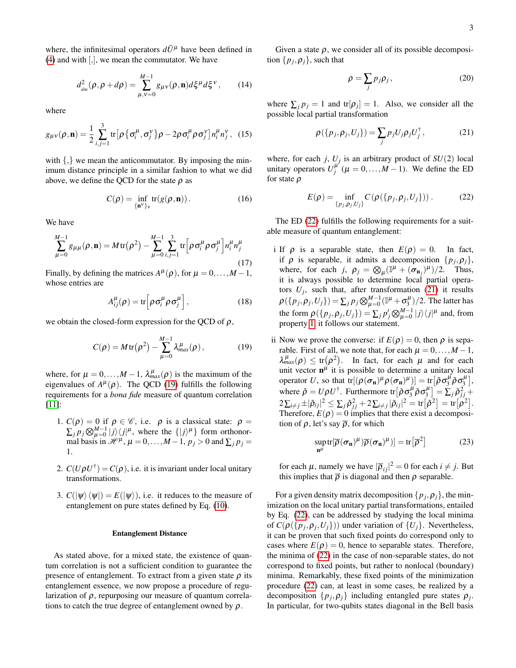where, the infinitesimal operators  $d\tilde{U}^{\mu}$  have been defined in  $(4)$  and with  $[,$ , we mean the commutator. We have

$$
d_{_{dm}}^{2}(\rho, \rho + d\rho) = \sum_{\mu, v=0}^{M-1} g_{\mu v}(\rho, \mathbf{n}) d\xi^{\mu} d\xi^{\nu}, \qquad (14)
$$

where

$$
g_{\mu\nu}(\rho,\mathbf{n}) = \frac{1}{2} \sum_{i,j=1}^{3} \text{tr} \big[ \rho \big\{ \sigma_i^{\mu}, \sigma_j^{\nu} \big\} \rho - 2 \rho \sigma_i^{\mu} \rho \sigma_j^{\nu} \big] n_i^{\mu} n_j^{\nu}, \quad (15)
$$

with  $\{,\}$  we mean the anticommutator. By imposing the minimum distance principle in a similar fashion to what we did above, we define the QCD for the state  $\rho$  as

$$
C(\rho) = \inf_{\{\mathbf{n}^V\}_V} tr(g(\rho, \mathbf{n})).
$$
 (16)

We have

$$
\sum_{\mu=0}^{M-1} g_{\mu\mu}(\rho, \mathbf{n}) = M \operatorname{tr}(\rho^2) - \sum_{\mu=0}^{M-1} \sum_{i,j=1}^3 \operatorname{tr} \left[ \rho \sigma_i^{\mu} \rho \sigma_j^{\mu} \right] n_i^{\mu} n_j^{\mu}
$$
\n(17)

Finally, by defining the matrices  $A^{\mu}(\rho)$ , for  $\mu = 0, ..., M - 1$ , whose entries are

$$
A_{ij}^{\mu}(\rho) = \text{tr}\Big[\rho \sigma_i^{\mu} \rho \sigma_j^{\mu}\Big],\tag{18}
$$

we obtain the closed-form expression for the QCD of  $\rho$ ,

<span id="page-2-0"></span>
$$
C(\rho) = M \operatorname{tr}(\rho^2) - \sum_{\mu=0}^{M-1} \lambda_{\max}^{\mu}(\rho), \qquad (19)
$$

where, for  $\mu = 0, ..., M - 1$ ,  $\lambda_{max}^{\mu}(\rho)$  is the maximum of the eigenvalues of  $A^{\mu}(\rho)$ . The QCD [\(19\)](#page-2-0) fulfills the following requirements for a *bona fide* measure of quantum correlation [\[11\]](#page-5-10):

- <span id="page-2-3"></span>1.  $C(\rho) = 0$  if  $\rho \in \mathscr{C}$ , i.e.  $\rho$  is a classical state:  $\rho =$  $\sum_{j} p_j \bigotimes_{\mu=0}^{M-1} |j\rangle\langle j|^{\mu}$ , where the  $\{|j\rangle^{\mu}\}\$  form orthonormal basis in  $\mathcal{H}^{\mu}$ ,  $\mu = 0, \ldots, M-1$ ,  $p_j > 0$  and  $\sum_j p_j =$ 1.
- 2.  $C(U\rho U^{\dagger}) = C(\rho)$ , i.e. it is invariant under local unitary transformations.
- 3.  $C(|\psi\rangle\langle\psi|) = E(|\psi\rangle)$ , i.e. it reduces to the measure of entanglement on pure states defined by Eq. [\(10\)](#page-1-4).

#### Entanglement Distance

As stated above, for a mixed state, the existence of quantum correlation is not a sufficient condition to guarantee the presence of entanglement. To extract from a given state  $\rho$  its entanglement essence, we now propose a procedure of regularization of  $\rho$ , repurposing our measure of quantum correlations to catch the true degree of entanglement owned by  $\rho$ .

Given a state  $\rho$ , we consider all of its possible decomposition  $\{p_j, \rho_j\}$ , such that

$$
\rho = \sum_{j} p_{j} \rho_{j}, \qquad (20)
$$

where  $\sum_j p_j = 1$  and  $tr[\rho_j] = 1$ . Also, we consider all the possible local partial transformation

<span id="page-2-2"></span>
$$
\rho(\{p_j, \rho_j, U_j\}) = \sum_j p_j U_j \rho_j U_j^{\dagger}, \qquad (21)
$$

where, for each *j*,  $U_j$  is an arbitrary product of  $SU(2)$  local unitary operators  $U_j^{\mu'}$  ( $\mu = 0, ..., M - 1$ ). We define the ED for state  $\rho$ 

<span id="page-2-1"></span>
$$
E(\rho) = \inf_{\{p_j, \rho_j, U_j\}} C(\rho(\{p_j, \rho_j, U_j\})).
$$
 (22)

The ED [\(22\)](#page-2-1) fulfills the following requirements for a suitable measure of quantum entanglement:

- i If  $\rho$  is a separable state, then  $E(\rho) = 0$ . In fact, if  $\rho$  is separable, it admits a decomposition  $\{p_j, \rho_j\}$ , where, for each *j*,  $\rho_j = \bigotimes_{\mu} (\mathbb{I}^{\mu} + (\sigma_{\mathbf{n}_j})^{\mu})/2$ . Thus, it is always possible to determine local partial operators  $U_j$ , such that, after transformation [\(21\)](#page-2-2) it results  $\rho(\{p_j, \rho_j, U_j\}) = \sum_j p_j \bigotimes_{\mu=0}^{M-1} (\mathbb{I}^{\mu} + \sigma_j^{\mu})/2$ . The latter has the form  $\rho(\{p_j, \rho_j, U_j\}) = \sum_j p'_j \bigotimes_{\mu=0}^{M-1} |j\rangle\langle j|^{\mu}$  and, from property [1,](#page-2-3) it follows our statement.
- ii Now we prove the converse: if  $E(\rho) = 0$ , then  $\rho$  is separable. First of all, we note that, for each  $\mu = 0, \ldots, M - 1$ ,  $\lambda_{max}^{\mu}(\rho) \le \text{tr}(\rho^2)$ . In fact, for each  $\mu$  and for each unit vector  $\mathbf{n}^{\mu}$  it is possible to determine a unitary local operator *U*, so that  $tr[(\rho(\sigma_n)^{\mu} \rho(\sigma_n)^{\mu})] = tr[\tilde{\rho} \sigma_3^{\mu} \tilde{\rho} \sigma_3^{\mu}],$ where  $\tilde{\rho} = U \rho U^{\dagger}$ . Furthermore tr $\left[ \tilde{\rho} \sigma_3^{\mu} \tilde{\rho} \sigma_3^{\mu} \right] = \sum_j \tilde{\rho}_{jj}^2 +$  $2\sum_{i\neq j}\pm |\tilde{\rho}_{ij}|^2\leq \sum_j \tilde{\rho}_{jj}^2+2\sum_{i\neq j}|\tilde{\rho}_{ij}|^2= \text{tr}\big[\tilde{\rho}^2\big]=\text{tr}\big[\rho^2\big].$ Therefore,  $E(\rho) = 0$  implies that there exist a decomposition of  $\rho$ , let's say  $\overline{\rho}$ , for which

$$
\sup_{\mathbf{n}^{\mu}} \text{tr}[\overline{\rho}(\sigma_{\mathbf{n}})^{\mu})\overline{\rho}(\sigma_{\mathbf{n}})^{\mu})] = \text{tr}[\overline{\rho}^{2}]
$$
 (23)

for each  $\mu$ , namely we have  $|\overline{\rho}_{ij}|^2 = 0$  for each  $i \neq j$ . But this implies that  $\bar{\rho}$  is diagonal and then  $\rho$  separable.

For a given density matrix decomposition  $\{p_j, \rho_j\}$ , the minimization on the local unitary partial transformations, entailed by Eq. [\(22\)](#page-2-1), can be addressed by studying the local minima of  $C(\rho(\lbrace p_j, p_j, U_j \rbrace))$  under variation of  $\lbrace U_j \rbrace$ . Nevertheless, it can be proven that such fixed points do correspond only to cases where  $E(\rho) = 0$ , hence to separable states. Therefore, the minima of [\(22\)](#page-2-1) in the case of non-separable states, do not correspond to fixed points, but rather to nonlocal (boundary) minima. Remarkably, these fixed points of the minimization procedure [\(22\)](#page-2-1) can, at least in some cases, be realized by a decomposition  $\{p_j, \rho_j\}$  including entangled pure states  $\rho_j$ . In particular, for two-qubits states diagonal in the Bell basis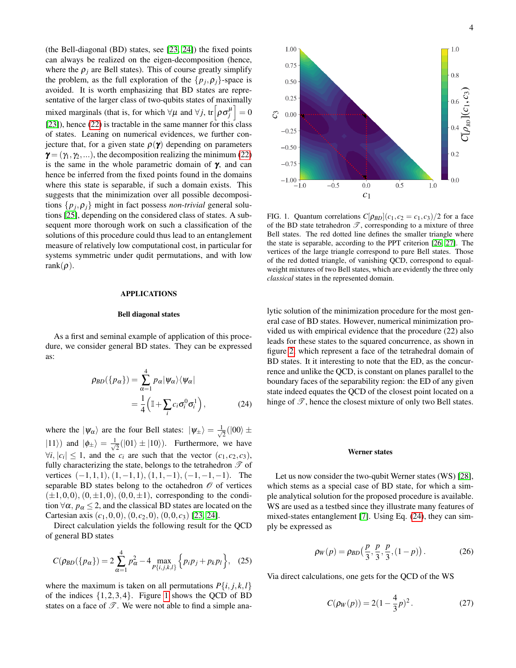(the Bell-diagonal (BD) states, see [\[23,](#page-5-21) [24\]](#page-5-22)) the fixed points can always be realized on the eigen-decomposition (hence, where the  $\rho_i$  are Bell states). This of course greatly simplify the problem, as the full exploration of the  $\{p_j, \rho_j\}$ -space is avoided. It is worth emphasizing that BD states are representative of the larger class of two-qubits states of maximally mixed marginals (that is, for which  $\forall \mu$  and  $\forall j$ , tr $\left[\rho \sigma_j^{\mu}\right] = 0$ [\[23\]](#page-5-21)), hence [\(22\)](#page-2-1) is tractable in the same manner for this class of states. Leaning on numerical evidences, we further conjecture that, for a given state  $\rho(\gamma)$  depending on parameters  $\gamma = (\gamma_1, \gamma_2, \ldots)$ , the decomposition realizing the minimum [\(22\)](#page-2-1) is the same in the whole parametric domain of  $\gamma$ , and can hence be inferred from the fixed points found in the domains where this state is separable, if such a domain exists. This suggests that the minimization over all possible decompositions  $\{p_j, \rho_j\}$  might in fact possess *non-trivial* general solutions [\[25\]](#page-5-23), depending on the considered class of states. A subsequent more thorough work on such a classification of the solutions of this procedure could thus lead to an entanglement measure of relatively low computational cost, in particular for systems symmetric under qudit permutations, and with low rank $(\rho)$ .

#### APPLICATIONS

## Bell diagonal states

As a first and seminal example of application of this procedure, we consider general BD states. They can be expressed as:

$$
\rho_{BD}(\{p_{\alpha}\}) = \sum_{\alpha=1}^{4} p_{\alpha} |\psi_{\alpha}\rangle \langle \psi_{\alpha}|
$$
  
= 
$$
\frac{1}{4} (\mathbb{I} + \sum_{i} c_{i} \sigma_{i}^{0} \sigma_{i}^{1}),
$$
 (24)

where the  $|\psi_{\alpha}\rangle$  are the four Bell states:  $|\psi_{\pm}\rangle = \frac{1}{\sqrt{2\pi}}$  $\frac{1}{2}(|00\rangle \pm$  $|11\rangle$ ) and  $|\phi_{\pm}\rangle = \frac{1}{\sqrt{2}}$  $\frac{1}{2}(|01\rangle \pm |10\rangle)$ . Furthermore, we have  $\forall i, |c_i| \leq 1$ , and the  $c_i$  are such that the vector  $(c_1, c_2, c_3)$ , fully characterizing the state, belongs to the tetrahedron  $\mathscr T$  of vertices  $(-1,1,1)$ ,  $(1,-1,1)$ ,  $(1,1,-1)$ ,  $(-1,-1,-1)$ . The separable BD states belong to the octahedron  $\mathcal O$  of vertices  $(\pm 1,0,0), (0,\pm 1,0), (0,0,\pm 1)$ , corresponding to the condition  $\forall \alpha$ ,  $p_{\alpha} \leq 2$ , and the classical BD states are located on the Cartesian axis  $(c_1, 0, 0)$ ,  $(0, c_2, 0)$ ,  $(0, 0, c_3)$  [\[23,](#page-5-21) [24\]](#page-5-22).

Direct calculation yields the following result for the QCD of general BD states

$$
C(\rho_{BD}(\{p_{\alpha}\}) = 2\sum_{\alpha=1}^{4} p_{\alpha}^{2} - 4 \max_{P\{i,j,k,l\}} \{p_{i}p_{j} + p_{k}p_{l}\}, \quad (25)
$$

where the maximum is taken on all permutations  $P\{i, j, k, l\}$ of the indices  $\{1,2,3,4\}$ . Figure [1](#page-3-0) shows the QCD of BD states on a face of  $\mathscr{T}$ . We were not able to find a simple ana-



<span id="page-3-0"></span>FIG. 1. Quantum correlations  $C[\rho_{BD}](c_1, c_2 = c_1, c_3)/2$  for a face of the BD state tetrahedron  $\mathscr{T}$ , corresponding to a mixture of three Bell states. The red dotted line defines the smaller triangle where the state is separable, according to the PPT criterion [\[26,](#page-5-24) [27\]](#page-5-25). The vertices of the large triangle correspond to pure Bell states. Those of the red dotted triangle, of vanishing QCD, correspond to equalweight mixtures of two Bell states, which are evidently the three only *classical* states in the represented domain.

lytic solution of the minimization procedure for the most general case of BD states. However, numerical minimization provided us with empirical evidence that the procedure (22) also leads for these states to the squared concurrence, as shown in figure [2,](#page-4-0) which represent a face of the tetrahedral domain of BD states. It it interesting to note that the ED, as the concurrence and unlike the QCD, is constant on planes parallel to the boundary faces of the separability region: the ED of any given state indeed equates the QCD of the closest point located on a hinge of  $\mathscr{T}$ , hence the closest mixture of only two Bell states.

### Werner states

<span id="page-3-1"></span>Let us now consider the two-qubit Werner states (WS) [\[28\]](#page-5-26), which stems as a special case of BD state, for which a simple analytical solution for the proposed procedure is available. WS are used as a testbed since they illustrate many features of mixed-states entanglement [\[7\]](#page-5-7). Using Eq. [\(24\)](#page-3-1), they can simply be expressed as

<span id="page-3-2"></span>
$$
\rho_W(p) = \rho_{BD}\left(\frac{p}{3}, \frac{p}{3}, \frac{p}{3}, (1-p)\right). \tag{26}
$$

Via direct calculations, one gets for the QCD of the WS

$$
C(\rho_W(p)) = 2(1 - \frac{4}{3}p)^2.
$$
 (27)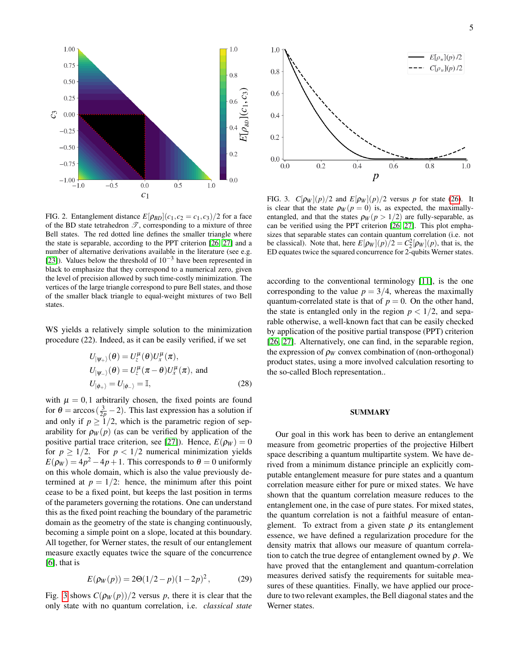

<span id="page-4-0"></span>FIG. 2. Entanglement distance  $E[\rho_{BD}](c_1, c_2 = c_1, c_3)/2$  for a face of the BD state tetrahedron  $\mathscr{T}$ , corresponding to a mixture of three Bell states. The red dotted line defines the smaller triangle where the state is separable, according to the PPT criterion [\[26,](#page-5-24) [27\]](#page-5-25) and a number of alternative derivations available in the literature (see e.g. [\[23\]](#page-5-21)). Values below the threshold of  $10^{-3}$  have been represented in black to emphasize that they correspond to a numerical zero, given the level of precision allowed by such time-costly minimization. The vertices of the large triangle correspond to pure Bell states, and those of the smaller black triangle to equal-weight mixtures of two Bell states.

WS yields a relatively simple solution to the minimization procedure (22). Indeed, as it can be easily verified, if we set

$$
U_{|\psi_{+}\rangle}(\theta) = U_{z}^{\mu}(\theta)U_{x}^{\mu}(\pi),
$$
  
\n
$$
U_{|\psi_{-}\rangle}(\theta) = U_{z}^{\mu}(\pi - \theta)U_{x}^{\mu}(\pi), \text{ and}
$$
  
\n
$$
U_{|\phi_{+}\rangle} = U_{|\phi_{-}\rangle} = \mathbb{I},
$$
\n(28)

with  $\mu = 0,1$  arbitrarily chosen, the fixed points are found for  $\theta = \arccos(\frac{3}{2p} - 2)$ . This last expression has a solution if and only if  $p \geq 1/2$ , which is the parametric region of separability for  $\rho_W(p)$  (as can be verified by application of the positive partial trace criterion, see [\[27\]](#page-5-25)). Hence,  $E(\rho_W) = 0$ for  $p \geq 1/2$ . For  $p < 1/2$  numerical minimization yields  $E(\rho_W) = 4p^2 - 4p + 1$ . This corresponds to  $\theta = 0$  uniformly on this whole domain, which is also the value previously determined at  $p = 1/2$ : hence, the minimum after this point cease to be a fixed point, but keeps the last position in terms of the parameters governing the rotations. One can understand this as the fixed point reaching the boundary of the parametric domain as the geometry of the state is changing continuously, becoming a simple point on a slope, located at this boundary. All together, for Werner states, the result of our entanglement measure exactly equates twice the square of the concurrence  $[6]$ , that is

$$
E(\rho_W(p)) = 2\Theta(1/2 - p)(1 - 2p)^2, \tag{29}
$$

Fig. [3](#page-4-1) shows  $C(\rho_W(p))/2$  versus p, there it is clear that the only state with no quantum correlation, i.e. *classical state*



<span id="page-4-1"></span>FIG. 3.  $C[\rho_W](p)/2$  and  $E[\rho_W](p)/2$  versus *p* for state [\(26\)](#page-3-2). It is clear that the state  $\rho_W(p=0)$  is, as expected, the maximallyentangled, and that the states  $\rho_W(p > 1/2)$  are fully-separable, as can be verified using the PPT criterion [\[26,](#page-5-24) [27\]](#page-5-25). This plot emphasizes that separable states can contain quantum correlation (i.e. not be classical). Note that, here  $E[p_W](p)/2 = C_2^2[p_W](p)$ , that is, the ED equates twice the squared concurrence for 2-qubits Werner states.

according to the conventional terminology [\[11\]](#page-5-10), is the one corresponding to the value  $p = 3/4$ , whereas the maximally quantum-correlated state is that of  $p = 0$ . On the other hand, the state is entangled only in the region  $p < 1/2$ , and separable otherwise, a well-known fact that can be easily checked by application of the positive partial transpose (PPT) criterion [\[26,](#page-5-24) [27\]](#page-5-25). Alternatively, one can find, in the separable region, the expression of  $\rho_W$  convex combination of (non-orthogonal) product states, using a more involved calculation resorting to the so-called Bloch representation..

# SUMMARY

Our goal in this work has been to derive an entanglement measure from geometric properties of the projective Hilbert space describing a quantum multipartite system. We have derived from a minimum distance principle an explicitly computable entanglement measure for pure states and a quantum correlation measure either for pure or mixed states. We have shown that the quantum correlation measure reduces to the entanglement one, in the case of pure states. For mixed states, the quantum correlation is not a faithful measure of entanglement. To extract from a given state  $\rho$  its entanglement essence, we have defined a regularization procedure for the density matrix that allows our measure of quantum correlation to catch the true degree of entanglement owned by  $\rho$ . We have proved that the entanglement and quantum-correlation measures derived satisfy the requirements for suitable measures of these quantities. Finally, we have applied our procedure to two relevant examples, the Bell diagonal states and the Werner states.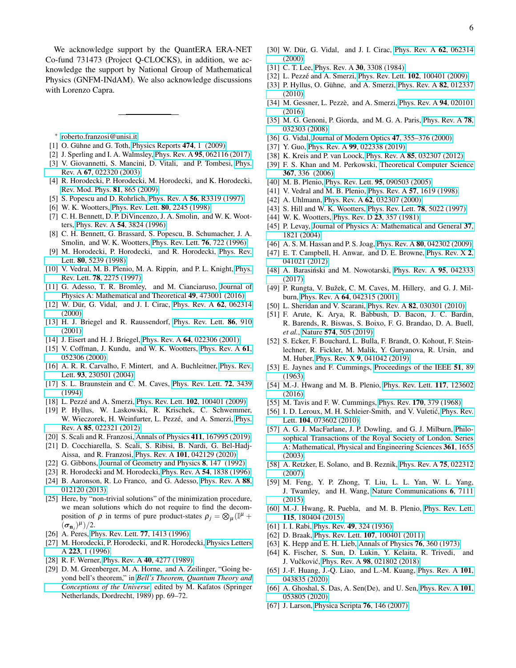We acknowledge support by the QuantERA ERA-NET Co-fund 731473 (Project Q-CLOCKS), in addition, we acknowledge the support by National Group of Mathematical Physics (GNFM-INdAM). We also acknowledge discussions with Lorenzo Capra.

<span id="page-5-0"></span>∗ [roberto.franzosi@unisi.it](mailto:roberto.franzosi@unisi.it)

- <span id="page-5-1"></span>[1] O. Gühne and G. Toth, [Physics Reports](http://dx.doi.org/https://doi.org/10.1016/j.physrep.2009.02.004) 474, 1 (2009).
- <span id="page-5-2"></span>[2] J. Sperling and I. A. Walmsley, Phys. Rev. A 95[, 062116 \(2017\).](http://dx.doi.org/10.1103/PhysRevA.95.062116)
- <span id="page-5-3"></span>[3] V. Giovannetti, S. Mancini, D. Vitali, and P. Tombesi, [Phys.](http://dx.doi.org/10.1103/PhysRevA.67.022320) Rev. A 67[, 022320 \(2003\).](http://dx.doi.org/10.1103/PhysRevA.67.022320)
- <span id="page-5-4"></span>[4] R. Horodecki, P. Horodecki, M. Horodecki, and K. Horodecki, [Rev. Mod. Phys.](http://dx.doi.org/10.1103/RevModPhys.81.865) 81, 865 (2009).
- <span id="page-5-5"></span>[5] S. Popescu and D. Rohrlich, Phys. Rev. A 56[, R3319 \(1997\).](http://dx.doi.org/10.1103/PhysRevA.56.R3319)
- <span id="page-5-6"></span>[6] W. K. Wootters, [Phys. Rev. Lett.](http://dx.doi.org/10.1103/PhysRevLett.80.2245) 80, 2245 (1998).
- <span id="page-5-7"></span>[7] C. H. Bennett, D. P. DiVincenzo, J. A. Smolin, and W. K. Wootters, Phys. Rev. A 54[, 3824 \(1996\).](http://dx.doi.org/10.1103/PhysRevA.54.3824)
- [8] C. H. Bennett, G. Brassard, S. Popescu, B. Schumacher, J. A. Smolin, and W. K. Wootters, [Phys. Rev. Lett.](http://dx.doi.org/ 10.1103/PhysRevLett.76.722) 76, 722 (1996).
- <span id="page-5-8"></span>[9] M. Horodecki, P. Horodecki, and R. Horodecki, [Phys. Rev.](http://dx.doi.org/10.1103/PhysRevLett.80.5239) Lett. 80[, 5239 \(1998\).](http://dx.doi.org/10.1103/PhysRevLett.80.5239)
- <span id="page-5-9"></span>[10] V. Vedral, M. B. Plenio, M. A. Rippin, and P. L. Knight, [Phys.](http://dx.doi.org/10.1103/PhysRevLett.78.2275) Rev. Lett. 78[, 2275 \(1997\).](http://dx.doi.org/10.1103/PhysRevLett.78.2275)
- <span id="page-5-10"></span>[11] G. Adesso, T. R. Bromley, and M. Cianciaruso, [Journal of](http://dx.doi.org/10.1088/1751-8113/49/47/473001) [Physics A: Mathematical and Theoretical](http://dx.doi.org/10.1088/1751-8113/49/47/473001) 49, 473001 (2016).
- <span id="page-5-11"></span>[12] W. Dür, G. Vidal, and J. I. Cirac, [Phys. Rev. A](http://dx.doi.org/10.1103/PhysRevA.62.062314) 62, 062314 [\(2000\).](http://dx.doi.org/10.1103/PhysRevA.62.062314)
- <span id="page-5-12"></span>[13] H. J. Briegel and R. Raussendorf, [Phys. Rev. Lett.](http://dx.doi.org/10.1103/PhysRevLett.86.910) 86, 910 [\(2001\).](http://dx.doi.org/10.1103/PhysRevLett.86.910)
- <span id="page-5-13"></span>[14] J. Eisert and H. J. Briegel, Phys. Rev. A **64**[, 022306 \(2001\).](http://dx.doi.org/10.1103/PhysRevA.64.022306)
- <span id="page-5-14"></span>[15] V. Coffman, J. Kundu, and W. K. Wootters, [Phys. Rev. A](http://dx.doi.org/10.1103/PhysRevA.61.052306) 61, [052306 \(2000\).](http://dx.doi.org/10.1103/PhysRevA.61.052306)
- <span id="page-5-15"></span>[16] A. R. R. Carvalho, F. Mintert, and A. Buchleitner, [Phys. Rev.](http://dx.doi.org/10.1103/PhysRevLett.93.230501) Lett. 93[, 230501 \(2004\).](http://dx.doi.org/10.1103/PhysRevLett.93.230501)
- <span id="page-5-16"></span>[17] S. L. Braunstein and C. M. Caves, [Phys. Rev. Lett.](http://dx.doi.org/10.1103/PhysRevLett.72.3439) **72**, 3439 [\(1994\).](http://dx.doi.org/10.1103/PhysRevLett.72.3439)
- <span id="page-5-17"></span>[18] L. Pezzé and A. Smerzi, Phys. Rev. Lett. 102[, 100401 \(2009\).](http://dx.doi.org/10.1103/PhysRevLett.102.100401)
- [19] P. Hyllus, W. Laskowski, R. Krischek, C. Schwemmer, W. Wieczorek, H. Weinfurter, L. Pezzé, and A. Smerzi, [Phys.](http://dx.doi.org/ 10.1103/PhysRevA.85.022321) Rev. A 85[, 022321 \(2012\).](http://dx.doi.org/ 10.1103/PhysRevA.85.022321)
- <span id="page-5-18"></span>[20] S. Scali and R. Franzosi, [Annals of Physics](http://dx.doi.org/https://doi.org/10.1016/j.aop.2019.167995) 411, 167995 (2019).
- <span id="page-5-19"></span>[21] D. Cocchiarella, S. Scali, S. Ribisi, B. Nardi, G. Bel-Hadj-Aissa, and R. Franzosi, Phys. Rev. A 101[, 042129 \(2020\).](http://dx.doi.org/ 10.1103/PhysRevA.101.042129)
- <span id="page-5-20"></span>[22] G. Gibbons, [Journal of Geometry and Physics](http://dx.doi.org/10.1016/0393-0440(92)90046-4) 8, 147 (1992).
- <span id="page-5-21"></span>[23] R. Horodecki and M. Horodecki, Phys. Rev. A 54[, 1838 \(1996\).](http://dx.doi.org/10.1103/PhysRevA.54.1838)
- <span id="page-5-22"></span>[24] B. Aaronson, R. Lo Franco, and G. Adesso, [Phys. Rev. A](http://dx.doi.org/10.1103/PhysRevA.88.012120) 88, [012120 \(2013\).](http://dx.doi.org/10.1103/PhysRevA.88.012120)
- <span id="page-5-23"></span>[25] Here, by "non-trivial solutions" of the minimization procedure, we mean solutions which do not require to find the decomposition of  $\rho$  in terms of pure product-states  $\rho_j = \otimes_\mu (\mathbb{I}^\mu +$  $(\boldsymbol{\sigma}_{\mathbf{n}_j})^{\mu})/2.$
- <span id="page-5-24"></span>[26] A. Peres, [Phys. Rev. Lett.](http://dx.doi.org/10.1103/PhysRevLett.77.1413) 77, 1413 (1996).
- <span id="page-5-25"></span>[27] M. Horodecki, P. Horodecki, and R. Horodecki, [Physics Letters](http://dx.doi.org/ https://doi.org/10.1016/S0375-9601(96)00706-2) A 223[, 1 \(1996\).](http://dx.doi.org/ https://doi.org/10.1016/S0375-9601(96)00706-2)
- <span id="page-5-26"></span>[28] R. F. Werner, Phys. Rev. A 40[, 4277 \(1989\).](http://dx.doi.org/10.1103/PhysRevA.40.4277)
- [29] D. M. Greenberger, M. A. Horne, and A. Zeilinger, "Going beyond bell's theorem," in *[Bell's Theorem, Quantum Theory and](http://dx.doi.org/10.1007/978-94-017-0849-4_10) [Conceptions of the Universe](http://dx.doi.org/10.1007/978-94-017-0849-4_10)*, edited by M. Kafatos (Springer Netherlands, Dordrecht, 1989) pp. 69–72.
- [30] W. Dür, G. Vidal, and J. I. Cirac, [Phys. Rev. A](http://dx.doi.org/10.1103/PhysRevA.62.062314) 62, 062314 [\(2000\).](http://dx.doi.org/10.1103/PhysRevA.62.062314)
- [31] C. T. Lee, Phys. Rev. A 30[, 3308 \(1984\).](http://dx.doi.org/10.1103/PhysRevA.30.3308)
- [32] L. Pezzé and A. Smerzi, Phys. Rev. Lett. **102**[, 100401 \(2009\).](http://dx.doi.org/10.1103/PhysRevLett.102.100401)
- [33] P. Hyllus, O. Gühne, and A. Smerzi, [Phys. Rev. A](http://dx.doi.org/10.1103/PhysRevA.82.012337) 82, 012337 [\(2010\).](http://dx.doi.org/10.1103/PhysRevA.82.012337)
- [34] M. Gessner, L. Pezzè, and A. Smerzi, [Phys. Rev. A](http://dx.doi.org/10.1103/PhysRevA.94.020101) 94, 020101 [\(2016\).](http://dx.doi.org/10.1103/PhysRevA.94.020101)
- [35] M. G. Genoni, P. Giorda, and M. G. A. Paris, [Phys. Rev. A](http://dx.doi.org/10.1103/PhysRevA.78.032303) 78, [032303 \(2008\).](http://dx.doi.org/10.1103/PhysRevA.78.032303)
- [36] G. Vidal, [Journal of Modern Optics](http://dx.doi.org/10.1080/09500340008244048) 47, 355–376 (2000).
- [37] Y. Guo, Phys. Rev. A 99[, 022338 \(2019\).](http://dx.doi.org/10.1103/PhysRevA.99.022338)
- [38] K. Kreis and P. van Loock, Phys. Rev. A 85[, 032307 \(2012\).](http://dx.doi.org/10.1103/PhysRevA.85.032307)
- [39] F. S. Khan and M. Perkowski, [Theoretical Computer Science](http://dx.doi.org/https://doi.org/10.1016/j.tcs.2006.09.006) 367[, 336 \(2006\).](http://dx.doi.org/https://doi.org/10.1016/j.tcs.2006.09.006)
- [40] M. B. Plenio, Phys. Rev. Lett. 95[, 090503 \(2005\).](http://dx.doi.org/10.1103/PhysRevLett.95.090503)
- [41] V. Vedral and M. B. Plenio, Phys. Rev. A 57[, 1619 \(1998\).](http://dx.doi.org/10.1103/PhysRevA.57.1619)
- [42] A. Uhlmann, Phys. Rev. A 62[, 032307 \(2000\).](http://dx.doi.org/10.1103/PhysRevA.62.032307)
- [43] S. Hill and W. K. Wootters, [Phys. Rev. Lett.](http://dx.doi.org/10.1103/PhysRevLett.78.5022) 78, 5022 (1997).
- [44] W. K. Wootters, [Phys. Rev. D](http://dx.doi.org/10.1103/PhysRevD.23.357) 23, 357 (1981).
- [45] P. Levay, [Journal of Physics A: Mathematical and General](https://iopscience.iop.org/article/10.1088/0305-4470/37/5/024) 37, [1821 \(2004\).](https://iopscience.iop.org/article/10.1088/0305-4470/37/5/024)
- [46] A. S. M. Hassan and P. S. Joag, Phys. Rev. A 80[, 042302 \(2009\).](http://dx.doi.org/10.1103/PhysRevA.80.042302)
- [47] E. T. Campbell, H. Anwar, and D. E. Browne, [Phys. Rev. X](http://dx.doi.org/10.1103/PhysRevX.2.041021) 2, [041021 \(2012\).](http://dx.doi.org/10.1103/PhysRevX.2.041021)
- [48] A. Barasiński and M. Nowotarski, [Phys. Rev. A](http://dx.doi.org/ 10.1103/PhysRevA.95.042333) 95, 042333 [\(2017\).](http://dx.doi.org/ 10.1103/PhysRevA.95.042333)
- [49] P. Rungta, V. Bužek, C. M. Caves, M. Hillery, and G. J. Milburn, Phys. Rev. A 64[, 042315 \(2001\).](http://dx.doi.org/ 10.1103/PhysRevA.64.042315)
- [50] L. Sheridan and V. Scarani, Phys. Rev. A 82[, 030301 \(2010\).](http://dx.doi.org/10.1103/PhysRevA.82.030301)
- [51] F. Arute, K. Arya, R. Babbush, D. Bacon, J. C. Bardin, R. Barends, R. Biswas, S. Boixo, F. G. Brandao, D. A. Buell, *et al.*, Nature 574[, 505 \(2019\).](https://www.nature.com/articles/s41586-019-1666-5)
- [52] S. Ecker, F. Bouchard, L. Bulla, F. Brandt, O. Kohout, F. Steinlechner, R. Fickler, M. Malik, Y. Guryanova, R. Ursin, and M. Huber, Phys. Rev. X 9[, 041042 \(2019\).](http://dx.doi.org/10.1103/PhysRevX.9.041042)
- [53] E. Jaynes and F. Cummings, [Proceedings of the IEEE](http://dx.doi.org/10.1109/PROC.1963.1664) 51, 89 [\(1963\).](http://dx.doi.org/10.1109/PROC.1963.1664)
- [54] M.-J. Hwang and M. B. Plenio, [Phys. Rev. Lett.](http://dx.doi.org/10.1103/PhysRevLett.117.123602) 117, 123602 [\(2016\).](http://dx.doi.org/10.1103/PhysRevLett.117.123602)
- [55] M. Tavis and F. W. Cummings, Phys. Rev. 170[, 379 \(1968\).](http://dx.doi.org/10.1103/PhysRev.170.379)
- [56] I. D. Leroux, M. H. Schleier-Smith, and V. Vuletić, [Phys. Rev.](http://dx.doi.org/ 10.1103/PhysRevLett.104.073602) Lett. 104[, 073602 \(2010\).](http://dx.doi.org/ 10.1103/PhysRevLett.104.073602)
- [57] A. G. J. MacFarlane, J. P. Dowling, and G. J. Milburn, [Philo](http://dx.doi.org/10.1098/rsta.2003.1227)[sophical Transactions of the Royal Society of London. Series](http://dx.doi.org/10.1098/rsta.2003.1227) [A: Mathematical, Physical and Engineering Sciences](http://dx.doi.org/10.1098/rsta.2003.1227) 361, 1655 [\(2003\).](http://dx.doi.org/10.1098/rsta.2003.1227)
- [58] A. Retzker, E. Solano, and B. Reznik, [Phys. Rev. A](http://dx.doi.org/10.1103/PhysRevA.75.022312) 75, 022312 [\(2007\).](http://dx.doi.org/10.1103/PhysRevA.75.022312)
- [59] M. Feng, Y. P. Zhong, T. Liu, L. L. Yan, W. L. Yang, J. Twamley, and H. Wang, [Nature Communications](http://dx.doi.org/10.1038/ncomms8111) 6, 7111 [\(2015\).](http://dx.doi.org/10.1038/ncomms8111)
- [60] M.-J. Hwang, R. Puebla, and M. B. Plenio, [Phys. Rev. Lett.](http://dx.doi.org/10.1103/PhysRevLett.115.180404) 115[, 180404 \(2015\).](http://dx.doi.org/10.1103/PhysRevLett.115.180404)
- [61] I. I. Rabi, Phys. Rev. **49**[, 324 \(1936\).](http://dx.doi.org/10.1103/PhysRev.49.324)
- [62] D. Braak, Phys. Rev. Lett. **107**[, 100401 \(2011\).](http://dx.doi.org/10.1103/PhysRevLett.107.100401)
- [63] K. Hepp and E. H. Lieb, [Annals of Physics](http://dx.doi.org/https://doi.org/10.1016/0003-4916(73)90039-0) 76, 360 (1973).
- [64] K. Fischer, S. Sun, D. Lukin, Y. Kelaita, R. Trivedi, and J. Vučković, Phys. Rev. A 98[, 021802 \(2018\).](http://dx.doi.org/ 10.1103/PhysRevA.98.021802)
- [65] J.-F. Huang, J.-Q. Liao, and L.-M. Kuang, [Phys. Rev. A](http://dx.doi.org/10.1103/PhysRevA.101.043835) 101, [043835 \(2020\).](http://dx.doi.org/10.1103/PhysRevA.101.043835)
- [66] A. Ghoshal, S. Das, A. Sen(De), and U. Sen, [Phys. Rev. A](http://dx.doi.org/ 10.1103/PhysRevA.101.053805) 101, [053805 \(2020\).](http://dx.doi.org/ 10.1103/PhysRevA.101.053805)
- [67] J. Larson, [Physica Scripta](http://dx.doi.org/10.1088/0031-8949/76/2/007) **76**, 146 (2007).